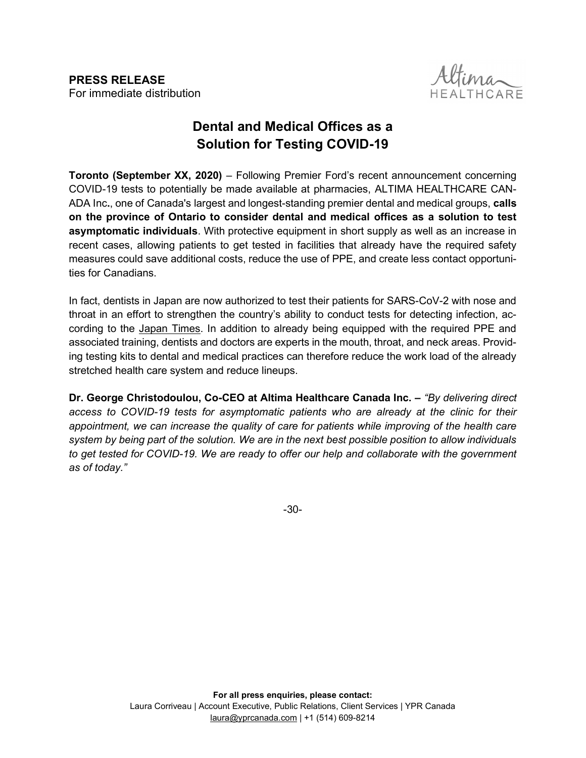PRESS RELEASE For immediate distribution i,



## Dental and Medical Offices as a Solution for Testing COVID-19

Toronto (September XX, 2020) – Following Premier Ford's recent announcement concerning COVID-19 tests to potentially be made available at pharmacies, ALTIMA HEALTHCARE CAN-ADA Inc., one of Canada's largest and longest-standing premier dental and medical groups, calls on the province of Ontario to consider dental and medical offices as a solution to test **asymptomatic individuals**. With protective equipment in short supply as well as an increase in recent cases, allowing patients to get tested in facilities that already have the required safety measures could save additional costs, reduce the use of PPE, and create less contact opportunities for Canadians.

In fact, dentists in Japan are now authorized to test their patients for SARS-CoV-2 with nose and throat in an effort to strengthen the country's ability to conduct tests for detecting infection, according to the Japan Times. In addition to already being equipped with the required PPE and associated training, dentists and doctors are experts in the mouth, throat, and neck areas. Providing testing kits to dental and medical practices can therefore reduce the work load of the already stretched health care system and reduce lineups.

Dr. George Christodoulou, Co-CEO at Altima Healthcare Canada Inc. – "By delivering direct" access to COVID-19 tests for asymptomatic patients who are already at the clinic for their appointment, we can increase the quality of care for patients while improving of the health care system by being part of the solution. We are in the next best possible position to allow individuals to get tested for COVID-19. We are ready to offer our help and collaborate with the government as of today."

-30-